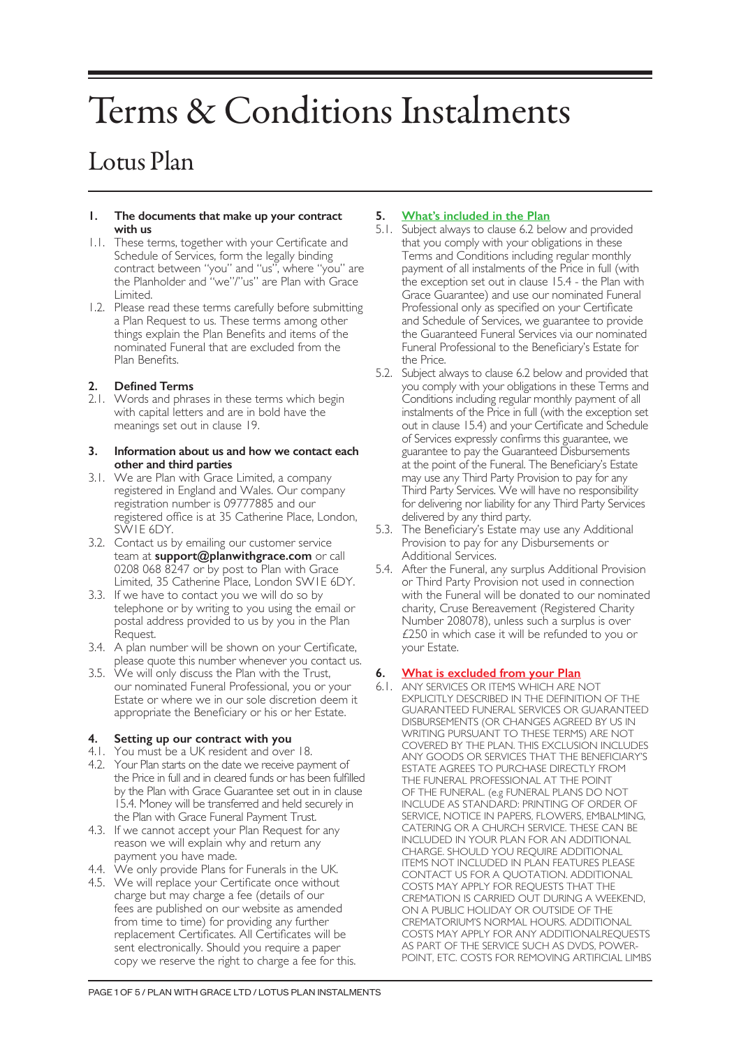# Terms & Conditions Instalments

# Lotus Plan

#### **1. The documents that make up your contract with us**

- 1.1. These terms, together with your Certificate and Schedule of Services, form the legally binding contract between "you" and "us", where "you" are the Planholder and "we"/"us" are Plan with Grace Limited.
- 1.2. Please read these terms carefully before submitting a Plan Request to us. These terms among other things explain the Plan Benefits and items of the nominated Funeral that are excluded from the Plan Benefits.

# **2. Defined Terms**

2.1. Words and phrases in these terms which begin with capital letters and are in bold have the meanings set out in clause 19.

#### **3. Information about us and how we contact each other and third parties**

- 3.1. We are Plan with Grace Limited, a company registered in England and Wales. Our company registration number is 09777885 and our registered office is at 35 Catherine Place, London, SW1E 6DY.
- 3.2. Contact us by emailing our customer service team at **support@planwithgrace.com** or call 0208 068 8247 or by post to Plan with Grace Limited, 35 Catherine Place, London SW1E 6DY.
- 3.3. If we have to contact you we will do so by telephone or by writing to you using the email or postal address provided to us by you in the Plan Request.
- 3.4. A plan number will be shown on your Certificate, please quote this number whenever you contact us.
- 3.5. We will only discuss the Plan with the Trust, our nominated Funeral Professional, you or your Estate or where we in our sole discretion deem it appropriate the Beneficiary or his or her Estate.

# **4. Setting up our contract with you**

- 4.1. You must be a UK resident and over 18.
- 4.2. Your Plan starts on the date we receive payment of the Price in full and in cleared funds or has been fulfilled by the Plan with Grace Guarantee set out in in clause 15.4. Money will be transferred and held securely in the Plan with Grace Funeral Payment Trust.
- 4.3. If we cannot accept your Plan Request for any reason we will explain why and return any payment you have made.
- 4.4. We only provide Plans for Funerals in the UK.
- 4.5. We will replace your Certificate once without charge but may charge a fee (details of our fees are published on our website as amended from time to time) for providing any further replacement Certificates. All Certificates will be sent electronically. Should you require a paper copy we reserve the right to charge a fee for this.

# **5. What's included in the Plan**

- 5.1. Subject always to clause 6.2 below and provided that you comply with your obligations in these Terms and Conditions including regular monthly payment of all instalments of the Price in full (with the exception set out in clause 15.4 - the Plan with Grace Guarantee) and use our nominated Funeral Professional only as specified on your Certificate and Schedule of Services, we guarantee to provide the Guaranteed Funeral Services via our nominated Funeral Professional to the Beneficiary's Estate for the Price.
- 5.2. Subject always to clause 6.2 below and provided that you comply with your obligations in these Terms and Conditions including regular monthly payment of all instalments of the Price in full (with the exception set out in clause 15.4) and your Certificate and Schedule of Services expressly confirms this guarantee, we guarantee to pay the Guaranteed Disbursements at the point of the Funeral. The Beneficiary's Estate may use any Third Party Provision to pay for any Third Party Services. We will have no responsibility for delivering nor liability for any Third Party Services delivered by any third party.
- 5.3. The Beneficiary's Estate may use any Additional Provision to pay for any Disbursements or Additional Services.
- 5.4. After the Funeral, any surplus Additional Provision or Third Party Provision not used in connection with the Funeral will be donated to our nominated charity, Cruse Bereavement (Registered Charity Number 208078), unless such a surplus is over £250 in which case it will be refunded to you or your Estate.

# **6. What is excluded from your Plan**

6.1. ANY SERVICES OR ITEMS WHICH ARE NOT EXPLICITLY DESCRIBED IN THE DEFINITION OF THE GUARANTEED FUNERAL SERVICES OR GUARANTEED DISBURSEMENTS (OR CHANGES AGREED BY US IN WRITING PURSUANT TO THESE TERMS) ARE NOT COVERED BY THE PLAN. THIS EXCLUSION INCLUDES ANY GOODS OR SERVICES THAT THE BENEFICIARY'S ESTATE AGREES TO PURCHASE DIRECTLY FROM THE FUNERAL PROFESSIONAL AT THE POINT OF THE FUNERAL. (e.g FUNERAL PLANS DO NOT INCLUDE AS STANDARD: PRINTING OF ORDER OF SERVICE, NOTICE IN PAPERS, FLOWERS, EMBALMING, CATERING OR A CHURCH SERVICE. THESE CAN BE INCLUDED IN YOUR PLAN FOR AN ADDITIONAL CHARGE. SHOULD YOU REQUIRE ADDITIONAL ITEMS NOT INCLUDED IN PLAN FEATURES PLEASE CONTACT US FOR A QUOTATION. ADDITIONAL COSTS MAY APPLY FOR REQUESTS THAT THE CREMATION IS CARRIED OUT DURING A WEEKEND, ON A PUBLIC HOLIDAY OR OUTSIDE OF THE CREMATORIUM'S NORMAL HOURS. ADDITIONAL COSTS MAY APPLY FOR ANY ADDITIONALREQUESTS AS PART OF THE SERVICE SUCH AS DVDS, POWER-POINT, ETC. COSTS FOR REMOVING ARTIFICIAL LIMBS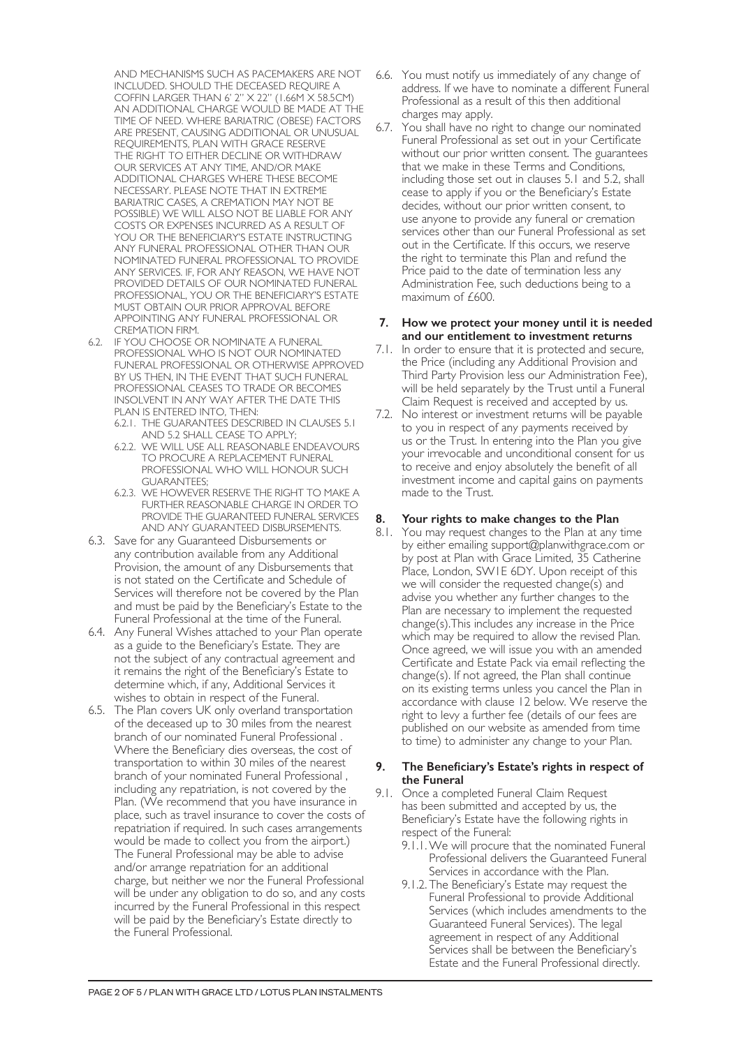AND MECHANISMS SUCH AS PACEMAKERS ARE NOT INCLUDED. SHOULD THE DECEASED REQUIRE A COFFIN LARGER THAN 6' 2" X 22" (1.66M X 58.5CM) AN ADDITIONAL CHARGE WOULD BE MADE AT THE TIME OF NEED. WHERE BARIATRIC (OBESE) FACTORS ARE PRESENT, CAUSING ADDITIONAL OR UNUSUAL REQUIREMENTS, PLAN WITH GRACE RESERVE THE RIGHT TO EITHER DECLINE OR WITHDRAW OUR SERVICES AT ANY TIME, AND/OR MAKE ADDITIONAL CHARGES WHERE THESE BECOME NECESSARY. PLEASE NOTE THAT IN EXTREME BARIATRIC CASES, A CREMATION MAY NOT BE POSSIBLE) WE WILL ALSO NOT BE LIABLE FOR ANY COSTS OR EXPENSES INCURRED AS A RESULT OF YOU OR THE BENEFICIARY'S ESTATE INSTRUCTING ANY FUNERAL PROFESSIONAL OTHER THAN OUR NOMINATED FUNERAL PROFESSIONAL TO PROVIDE ANY SERVICES. IF, FOR ANY REASON, WE HAVE NOT PROVIDED DETAILS OF OUR NOMINATED FUNERAL PROFESSIONAL, YOU OR THE BENEFICIARY'S ESTATE MUST OBTAIN OUR PRIOR APPROVAL BEFORE APPOINTING ANY FUNERAL PROFESSIONAL OR CREMATION FIRM.

- 6.2. IF YOU CHOOSE OR NOMINATE A FUNERAL PROFESSIONAL WHO IS NOT OUR NOMINATED FUNERAL PROFESSIONAL OR OTHERWISE APPROVED BY US THEN, IN THE EVENT THAT SUCH FUNERAL PROFESSIONAL CEASES TO TRADE OR BECOMES INSOLVENT IN ANY WAY AFTER THE DATE THIS PLAN IS ENTERED INTO, THEN:
	- 6.2.1. THE GUARANTEES DESCRIBED IN CLAUSES 5.1 AND 5.2 SHALL CEASE TO APPLY;
	- 6.2.2. WE WILL USE ALL REASONABLE ENDEAVOURS TO PROCURE A REPLACEMENT FUNERAL PROFESSIONAL WHO WILL HONOUR SUCH GUARANTEES;
	- 6.2.3. WE HOWEVER RESERVE THE RIGHT TO MAKE A FURTHER REASONABLE CHARGE IN ORDER TO PROVIDE THE GUARANTEED FUNERAL SERVICES AND ANY GUARANTEED DISBURSEMENTS.
- 6.3. Save for any Guaranteed Disbursements or any contribution available from any Additional Provision, the amount of any Disbursements that is not stated on the Certificate and Schedule of Services will therefore not be covered by the Plan and must be paid by the Beneficiary's Estate to the Funeral Professional at the time of the Funeral.
- 6.4. Any Funeral Wishes attached to your Plan operate as a guide to the Beneficiary's Estate. They are not the subject of any contractual agreement and it remains the right of the Beneficiary's Estate to determine which, if any, Additional Services it wishes to obtain in respect of the Funeral.
- 6.5. The Plan covers UK only overland transportation of the deceased up to 30 miles from the nearest branch of our nominated Funeral Professional . Where the Beneficiary dies overseas, the cost of transportation to within 30 miles of the nearest branch of your nominated Funeral Professional , including any repatriation, is not covered by the Plan. (We recommend that you have insurance in place, such as travel insurance to cover the costs of repatriation if required. In such cases arrangements would be made to collect you from the airport.) The Funeral Professional may be able to advise and/or arrange repatriation for an additional charge, but neither we nor the Funeral Professional will be under any obligation to do so, and any costs incurred by the Funeral Professional in this respect will be paid by the Beneficiary's Estate directly to the Funeral Professional.
- 6.6. You must notify us immediately of any change of address. If we have to nominate a different Funeral Professional as a result of this then additional charges may apply.
- 6.7. You shall have no right to change our nominated Funeral Professional as set out in your Certificate without our prior written consent. The guarantees that we make in these Terms and Conditions, including those set out in clauses 5.1 and 5.2, shall cease to apply if you or the Beneficiary's Estate decides, without our prior written consent, to use anyone to provide any funeral or cremation services other than our Funeral Professional as set out in the Certificate. If this occurs, we reserve the right to terminate this Plan and refund the Price paid to the date of termination less any Administration Fee, such deductions being to a maximum of £600.

#### **7. How we protect your money until it is needed and our entitlement to investment returns**

- 7.1. In order to ensure that it is protected and secure, the Price (including any Additional Provision and Third Party Provision less our Administration Fee), will be held separately by the Trust until a Funeral Claim Request is received and accepted by us.
- 7.2. No interest or investment returns will be payable to you in respect of any payments received by us or the Trust. In entering into the Plan you give your irrevocable and unconditional consent for us to receive and enjoy absolutely the benefit of all investment income and capital gains on payments made to the Trust.

# **8. Your rights to make changes to the Plan**

8.1. You may request changes to the Plan at any time by either emailing support@planwithgrace.com or by post at Plan with Grace Limited, 35 Catherine Place, London, SW1E 6DY. Upon receipt of this we will consider the requested change(s) and advise you whether any further changes to the Plan are necessary to implement the requested change(s).This includes any increase in the Price which may be required to allow the revised Plan. Once agreed, we will issue you with an amended Certificate and Estate Pack via email reflecting the change(s). If not agreed, the Plan shall continue on its existing terms unless you cancel the Plan in accordance with clause 12 below. We reserve the right to levy a further fee (details of our fees are published on our website as amended from time to time) to administer any change to your Plan.

#### **9. The Beneficiary's Estate's rights in respect of the Funeral**

- 9.1. Once a completed Funeral Claim Request has been submitted and accepted by us, the Beneficiary's Estate have the following rights in respect of the Funeral:
	- 9.1.1.We will procure that the nominated Funeral Professional delivers the Guaranteed Funeral Services in accordance with the Plan.
	- 9.1.2. The Beneficiary's Estate may request the Funeral Professional to provide Additional Services (which includes amendments to the Guaranteed Funeral Services). The legal agreement in respect of any Additional Services shall be between the Beneficiary's Estate and the Funeral Professional directly.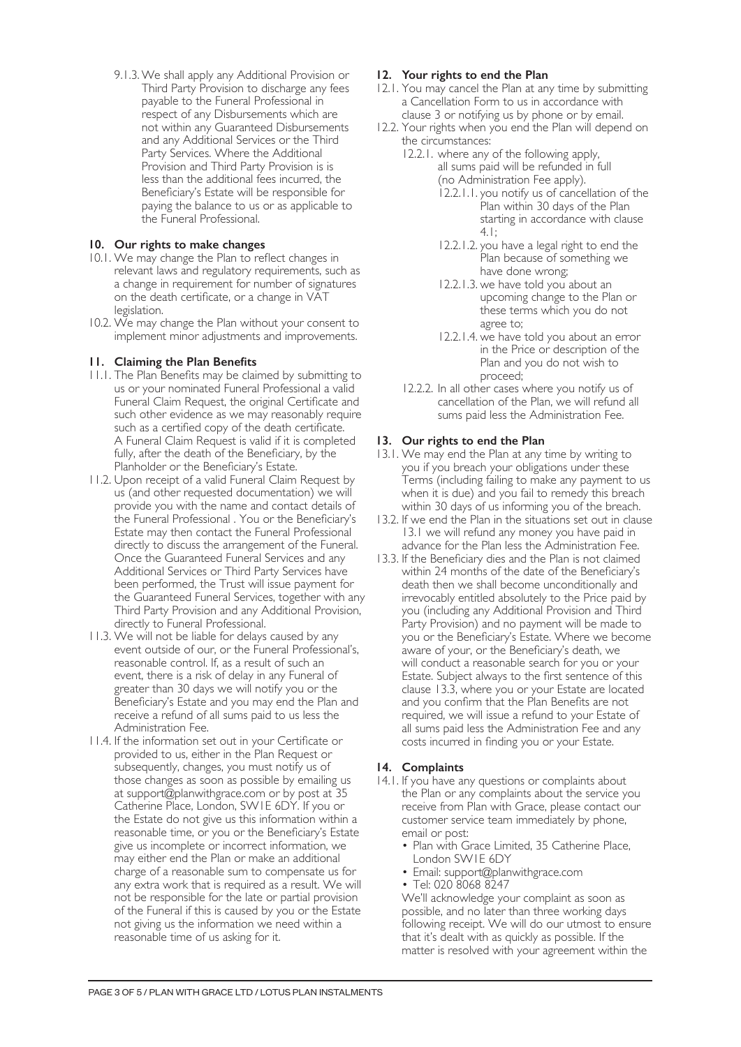9.1.3.We shall apply any Additional Provision or Third Party Provision to discharge any fees payable to the Funeral Professional in respect of any Disbursements which are not within any Guaranteed Disbursements and any Additional Services or the Third Party Services. Where the Additional Provision and Third Party Provision is is less than the additional fees incurred, the Beneficiary's Estate will be responsible for paying the balance to us or as applicable to the Funeral Professional.

# **10. Our rights to make changes**

- 10.1. We may change the Plan to reflect changes in relevant laws and regulatory requirements, such as a change in requirement for number of signatures on the death certificate, or a change in VAT legislation.
- 10.2. We may change the Plan without your consent to implement minor adjustments and improvements.

## **11. Claiming the Plan Benefits**

- 11.1. The Plan Benefits may be claimed by submitting to us or your nominated Funeral Professional a valid Funeral Claim Request, the original Certificate and such other evidence as we may reasonably require such as a certified copy of the death certificate. A Funeral Claim Request is valid if it is completed fully, after the death of the Beneficiary, by the Planholder or the Beneficiary's Estate.
- 11.2. Upon receipt of a valid Funeral Claim Request by us (and other requested documentation) we will provide you with the name and contact details of the Funeral Professional . You or the Beneficiary's Estate may then contact the Funeral Professional directly to discuss the arrangement of the Funeral. Once the Guaranteed Funeral Services and any Additional Services or Third Party Services have been performed, the Trust will issue payment for the Guaranteed Funeral Services, together with any Third Party Provision and any Additional Provision, directly to Funeral Professional.
- 11.3. We will not be liable for delays caused by any event outside of our, or the Funeral Professional's, reasonable control. If, as a result of such an event, there is a risk of delay in any Funeral of greater than 30 days we will notify you or the Beneficiary's Estate and you may end the Plan and receive a refund of all sums paid to us less the Administration Fee.
- 11.4. If the information set out in your Certificate or provided to us, either in the Plan Request or subsequently, changes, you must notify us of those changes as soon as possible by emailing us at support@planwithgrace.com or by post at 35 Catherine Place, London, SW1E 6DY. If you or the Estate do not give us this information within a reasonable time, or you or the Beneficiary's Estate give us incomplete or incorrect information, we may either end the Plan or make an additional charge of a reasonable sum to compensate us for any extra work that is required as a result. We will not be responsible for the late or partial provision of the Funeral if this is caused by you or the Estate not giving us the information we need within a reasonable time of us asking for it.

## **12. Your rights to end the Plan**

- 12.1. You may cancel the Plan at any time by submitting a Cancellation Form to us in accordance with clause 3 or notifying us by phone or by email.
- 12.2. Your rights when you end the Plan will depend on the circumstances:
	- 12.2.1. where any of the following apply, all sums paid will be refunded in full (no Administration Fee apply).
		- 12.2.1.1. you notify us of cancellation of the Plan within 30 days of the Plan starting in accordance with clause 4.1;
		- 12.2.1.2. you have a legal right to end the Plan because of something we have done wrong;
		- 12.2.1.3. we have told you about an upcoming change to the Plan or these terms which you do not agree to;
		- 12.2.1.4. we have told you about an error in the Price or description of the Plan and you do not wish to proceed;
	- 12.2.2. In all other cases where you notify us of cancellation of the Plan, we will refund all sums paid less the Administration Fee.

## **13. Our rights to end the Plan**

- 13.1. We may end the Plan at any time by writing to you if you breach your obligations under these Terms (including failing to make any payment to us when it is due) and you fail to remedy this breach within 30 days of us informing you of the breach.
- 13.2. If we end the Plan in the situations set out in clause 13.1 we will refund any money you have paid in advance for the Plan less the Administration Fee.
- 13.3. If the Beneficiary dies and the Plan is not claimed within 24 months of the date of the Beneficiary's death then we shall become unconditionally and irrevocably entitled absolutely to the Price paid by you (including any Additional Provision and Third Party Provision) and no payment will be made to you or the Beneficiary's Estate. Where we become aware of your, or the Beneficiary's death, we will conduct a reasonable search for you or your Estate. Subject always to the first sentence of this clause 13.3, where you or your Estate are located and you confirm that the Plan Benefits are not required, we will issue a refund to your Estate of all sums paid less the Administration Fee and any costs incurred in finding you or your Estate.

#### **14. Complaints**

- 14.1. If you have any questions or complaints about the Plan or any complaints about the service you receive from Plan with Grace, please contact our customer service team immediately by phone, email or post:
	- Plan with Grace Limited, 35 Catherine Place, London SW1E 6DY
	- Email: support@planwithgrace.com
	- Tel: 020 8068 8247

We'll acknowledge your complaint as soon as possible, and no later than three working days following receipt. We will do our utmost to ensure that it's dealt with as quickly as possible. If the matter is resolved with your agreement within the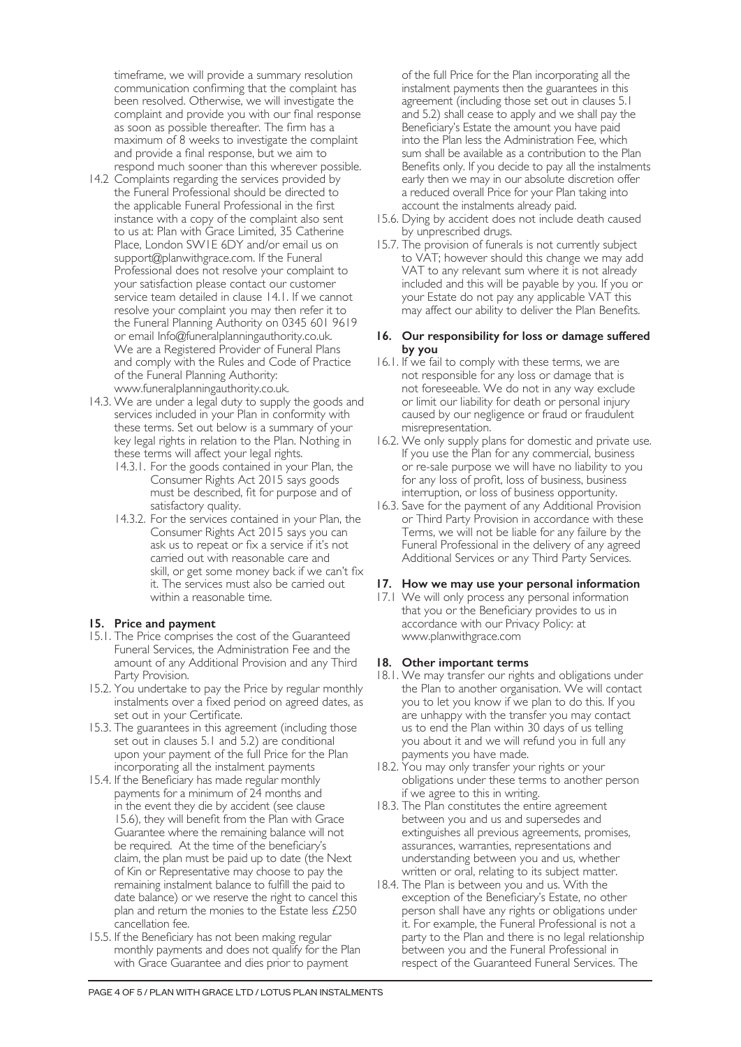timeframe, we will provide a summary resolution communication confirming that the complaint has been resolved. Otherwise, we will investigate the complaint and provide you with our final response as soon as possible thereafter. The firm has a maximum of 8 weeks to investigate the complaint and provide a final response, but we aim to respond much sooner than this wherever possible.

- 14.2 Complaints regarding the services provided by the Funeral Professional should be directed to the applicable Funeral Professional in the first instance with a copy of the complaint also sent to us at: Plan with Grace Limited, 35 Catherine Place, London SW1E 6DY and/or email us on support@planwithgrace.com. If the Funeral Professional does not resolve your complaint to your satisfaction please contact our customer service team detailed in clause 14.1. If we cannot resolve your complaint you may then refer it to the Funeral Planning Authority on 0345 601 9619 or email Info@funeralplanningauthority.co.uk. We are a Registered Provider of Funeral Plans and comply with the Rules and Code of Practice of the Funeral Planning Authority: www.funeralplanningauthority.co.uk.
- 14.3. We are under a legal duty to supply the goods and services included in your Plan in conformity with these terms. Set out below is a summary of your key legal rights in relation to the Plan. Nothing in these terms will affect your legal rights.
	- 14.3.1. For the goods contained in your Plan, the Consumer Rights Act 2015 says goods must be described, fit for purpose and of satisfactory quality.
	- 14.3.2. For the services contained in your Plan, the Consumer Rights Act 2015 says you can ask us to repeat or fix a service if it's not carried out with reasonable care and skill, or get some money back if we can't fix it. The services must also be carried out within a reasonable time.

#### **15. Price and payment**

- 15.1. The Price comprises the cost of the Guaranteed Funeral Services, the Administration Fee and the amount of any Additional Provision and any Third Party Provision.
- 15.2. You undertake to pay the Price by regular monthly instalments over a fixed period on agreed dates, as set out in your Certificate.
- 15.3. The guarantees in this agreement (including those set out in clauses 5.1 and 5.2) are conditional upon your payment of the full Price for the Plan incorporating all the instalment payments
- 15.4. If the Beneficiary has made regular monthly payments for a minimum of 24 months and in the event they die by accident (see clause 15.6), they will benefit from the Plan with Grace Guarantee where the remaining balance will not be required. At the time of the beneficiary's claim, the plan must be paid up to date (the Next of Kin or Representative may choose to pay the remaining instalment balance to fulfill the paid to date balance) or we reserve the right to cancel this plan and return the monies to the Estate less £250 cancellation fee.
- 15.5. If the Beneficiary has not been making regular monthly payments and does not qualify for the Plan with Grace Guarantee and dies prior to payment

of the full Price for the Plan incorporating all the instalment payments then the guarantees in this agreement (including those set out in clauses 5.1 and 5.2) shall cease to apply and we shall pay the Beneficiary's Estate the amount you have paid into the Plan less the Administration Fee, which sum shall be available as a contribution to the Plan Benefits only. If you decide to pay all the instalments early then we may in our absolute discretion offer a reduced overall Price for your Plan taking into account the instalments already paid.

- 15.6. Dying by accident does not include death caused by unprescribed drugs.
- 15.7. The provision of funerals is not currently subject to VAT; however should this change we may add VAT to any relevant sum where it is not already included and this will be payable by you. If you or your Estate do not pay any applicable VAT this may affect our ability to deliver the Plan Benefits.

#### **16. Our responsibility for loss or damage suffered by you**

- 16.1. If we fail to comply with these terms, we are not responsible for any loss or damage that is not foreseeable. We do not in any way exclude or limit our liability for death or personal injury caused by our negligence or fraud or fraudulent misrepresentation.
- 16.2. We only supply plans for domestic and private use. If you use the Plan for any commercial, business or re-sale purpose we will have no liability to you for any loss of profit, loss of business, business interruption, or loss of business opportunity.
- 16.3. Save for the payment of any Additional Provision or Third Party Provision in accordance with these Terms, we will not be liable for any failure by the Funeral Professional in the delivery of any agreed Additional Services or any Third Party Services.

# **17. How we may use your personal information**

17.1 We will only process any personal information that you or the Beneficiary provides to us in accordance with our Privacy Policy: at www.planwithgrace.com

#### **18. Other important terms**

- 18.1. We may transfer our rights and obligations under the Plan to another organisation. We will contact you to let you know if we plan to do this. If you are unhappy with the transfer you may contact us to end the Plan within 30 days of us telling you about it and we will refund you in full any payments you have made.
- 18.2. You may only transfer your rights or your obligations under these terms to another person if we agree to this in writing.
- 18.3. The Plan constitutes the entire agreement between you and us and supersedes and extinguishes all previous agreements, promises, assurances, warranties, representations and understanding between you and us, whether written or oral, relating to its subject matter.
- 18.4. The Plan is between you and us. With the exception of the Beneficiary's Estate, no other person shall have any rights or obligations under it. For example, the Funeral Professional is not a party to the Plan and there is no legal relationship between you and the Funeral Professional in respect of the Guaranteed Funeral Services. The